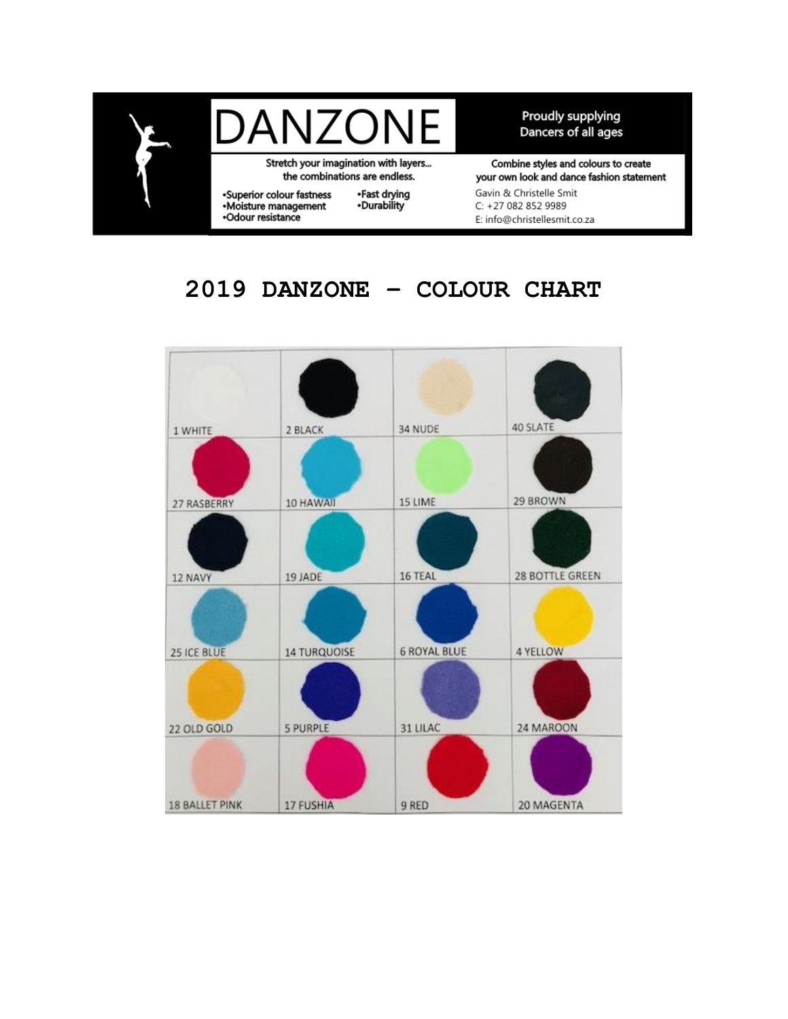

Stretch your imagination with layers... the combinations are endless.

·Superior colour fastness<br>·Moisture management ·Odour resistance

•Fast drying<br>•Durability

Proudly supplying Dancers of all ages

Combine styles and colours to create your own look and dance fashion statement Gavin & Christelle Smit C: +27 082 852 9989 E: info@christellesmit.co.za

## 2019 DANZONE - COLOUR CHART

| 1 WHITE               | 2 BLACK             | 34 NUDE             | 40 SLATE        |
|-----------------------|---------------------|---------------------|-----------------|
| 27 RASBERRY           | 10 HAWAII           | 15 LIME             | 29 BROWN        |
| 12 NAVY               | 19 JADE             | 16 TEAL             | 28 BOTTLE GREEN |
| 25 ICE BLUE           | <b>14 TURQUOISE</b> | <b>6 ROYAL BLUE</b> | 4 YELLOW        |
| 22 OLD GOLD           | <b>5 PURPLE</b>     | 31 LILAC            | 24 MAROON       |
| <b>18 BALLET PINK</b> | 17 FUSHIA           | 9 RED               | 20 MAGENTA      |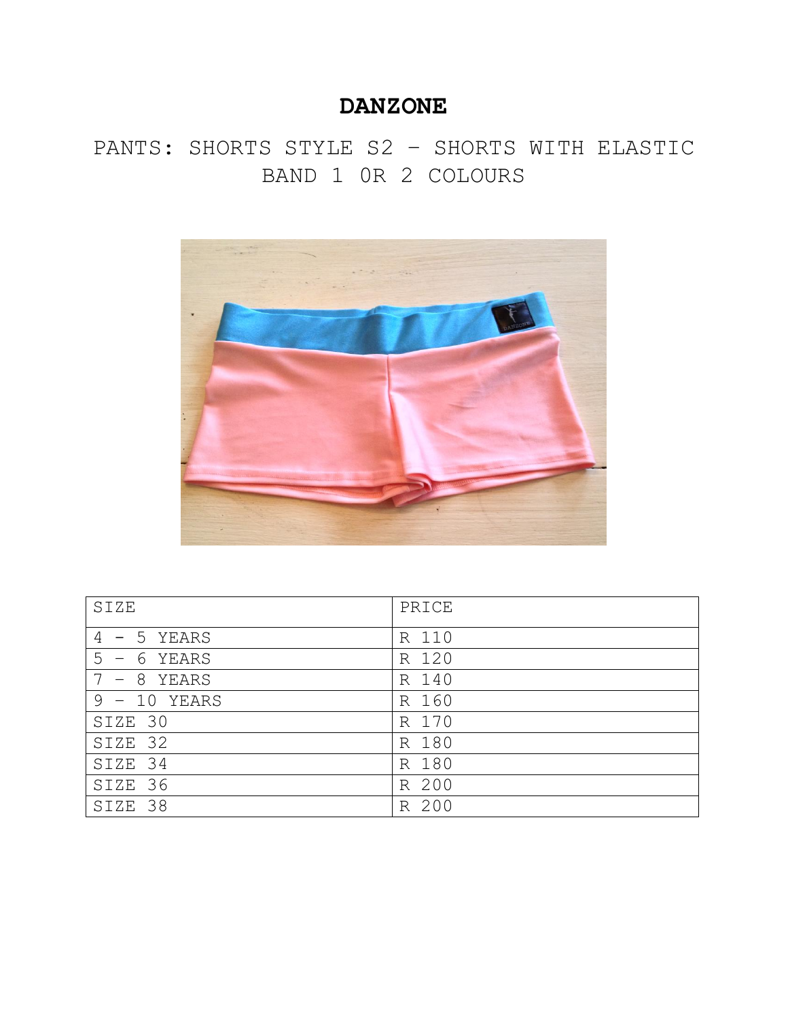PANTS: SHORTS STYLE S2 – SHORTS WITH ELASTIC BAND 1 0R 2 COLOURS



| SIZE              | PRICE    |
|-------------------|----------|
| $4 - 5$ YEARS     | R 110    |
| 5<br>YEARS<br>- 6 | R 120    |
| $-8$<br>YEARS     | R 140    |
| $9 - 10$<br>YEARS | R 160    |
| SIZE 30           | 170<br>R |
| SIZE 32           | 180<br>R |
| SIZE 34           | R 180    |
| SIZE 36           | 200<br>R |
| SIZE 38           | 200<br>R |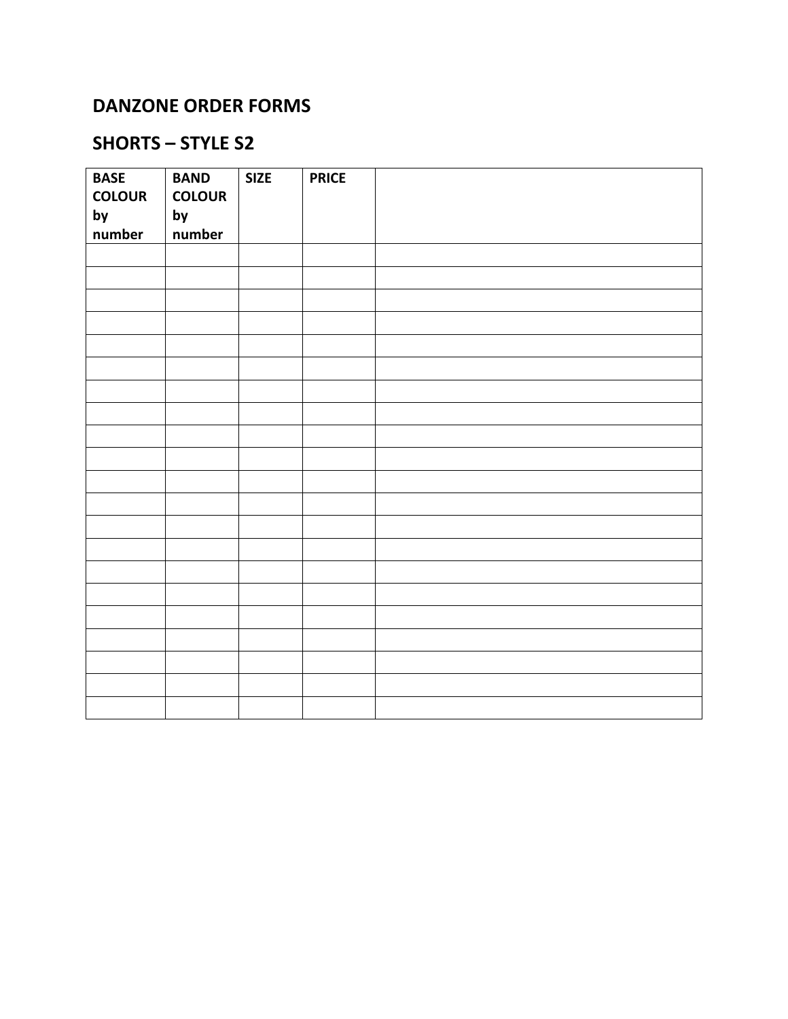## **DANZONE ORDER FORMS**

## **SHORTS – STYLE S2**

| <b>BASE</b>   | <b>BAND</b>   | <b>SIZE</b> | <b>PRICE</b> |  |
|---------------|---------------|-------------|--------------|--|
| <b>COLOUR</b> | <b>COLOUR</b> |             |              |  |
| by            | by            |             |              |  |
| number        | number        |             |              |  |
|               |               |             |              |  |
|               |               |             |              |  |
|               |               |             |              |  |
|               |               |             |              |  |
|               |               |             |              |  |
|               |               |             |              |  |
|               |               |             |              |  |
|               |               |             |              |  |
|               |               |             |              |  |
|               |               |             |              |  |
|               |               |             |              |  |
|               |               |             |              |  |
|               |               |             |              |  |
|               |               |             |              |  |
|               |               |             |              |  |
|               |               |             |              |  |
|               |               |             |              |  |
|               |               |             |              |  |
|               |               |             |              |  |
|               |               |             |              |  |
|               |               |             |              |  |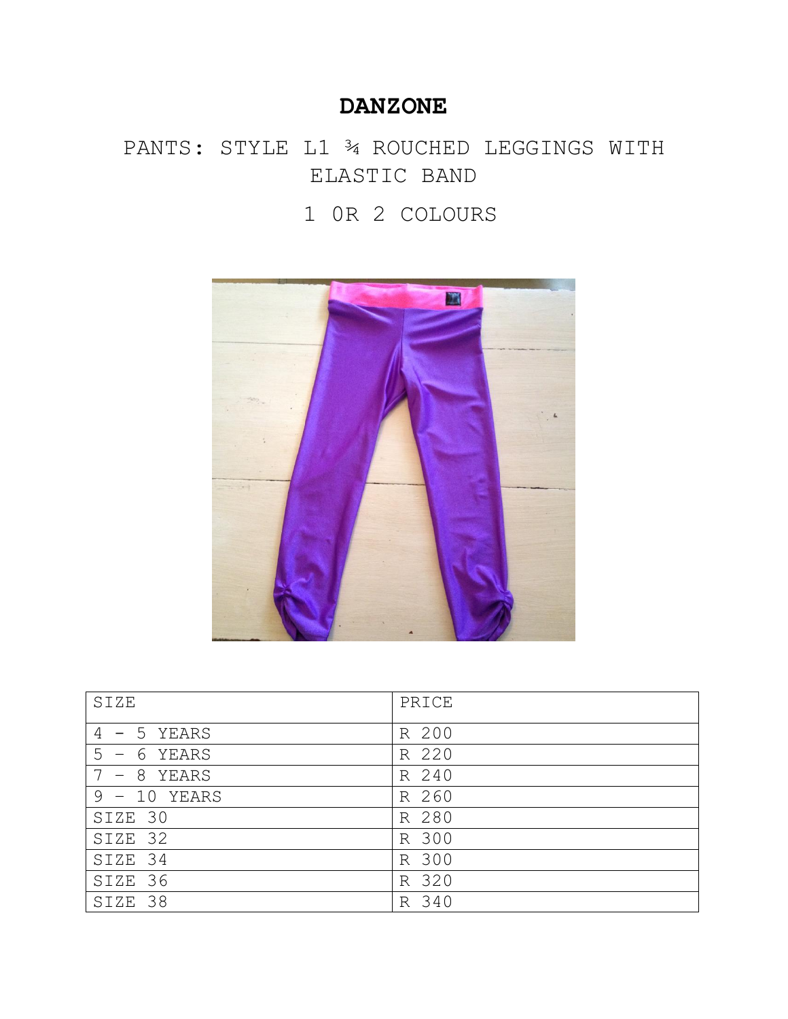## PANTS: STYLE L1 ¾ ROUCHED LEGGINGS WITH ELASTIC BAND

## 1 0R 2 COLOURS



| SIZE              | PRICE    |
|-------------------|----------|
| $4 - 5$ YEARS     | R 200    |
| 5<br>YEARS<br>- 6 | R 220    |
| $-8$<br>YEARS     | R 240    |
| $9 - 10$<br>YEARS | 260<br>R |
| SIZE 30           | R 280    |
| SIZE 32           | R 300    |
| SIZE 34           | R 300    |
| SIZE 36           | R 320    |
| 38<br>SIZE        | 340<br>R |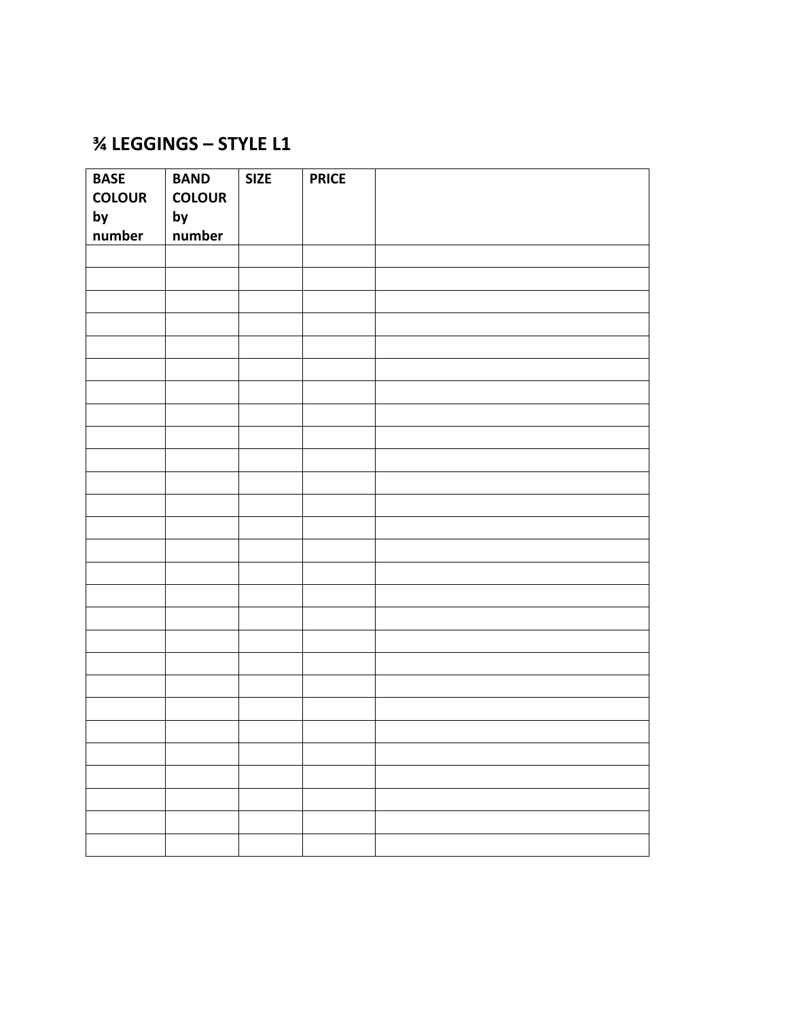## **% LEGGINGS - STYLE L1**

| <b>BASE</b>   | <b>BAND</b>   | <b>SIZE</b> | <b>PRICE</b> |  |
|---------------|---------------|-------------|--------------|--|
| <b>COLOUR</b> | <b>COLOUR</b> |             |              |  |
| by            | by            |             |              |  |
| number        | number        |             |              |  |
|               |               |             |              |  |
|               |               |             |              |  |
|               |               |             |              |  |
|               |               |             |              |  |
|               |               |             |              |  |
|               |               |             |              |  |
|               |               |             |              |  |
|               |               |             |              |  |
|               |               |             |              |  |
|               |               |             |              |  |
|               |               |             |              |  |
|               |               |             |              |  |
|               |               |             |              |  |
|               |               |             |              |  |
|               |               |             |              |  |
|               |               |             |              |  |
|               |               |             |              |  |
|               |               |             |              |  |
|               |               |             |              |  |
|               |               |             |              |  |
|               |               |             |              |  |
|               |               |             |              |  |
|               |               |             |              |  |
|               |               |             |              |  |
|               |               |             |              |  |
|               |               |             |              |  |
|               |               |             |              |  |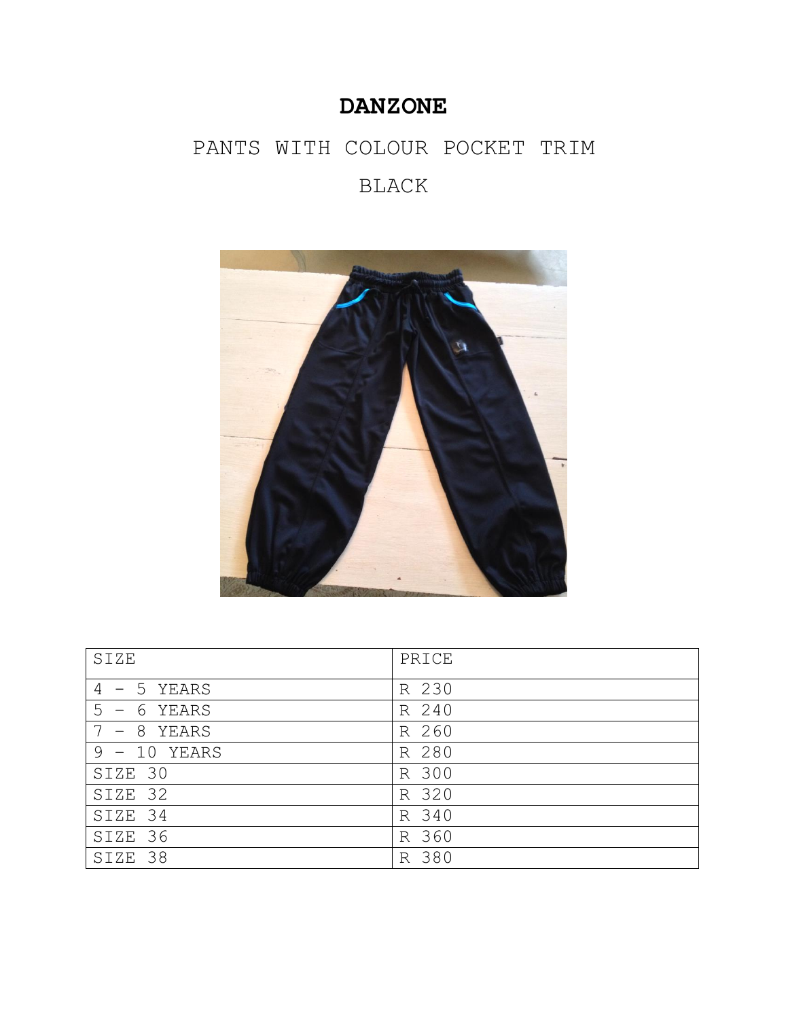## PANTS WITH COLOUR POCKET TRIM BLACK



| SIZE           | PRICE    |
|----------------|----------|
| $4 - 5$ YEARS  | R 230    |
| 5<br>- 6 YEARS | R 240    |
| - 8<br>YEARS   | R 260    |
| $9 - 10$ YEARS | R 280    |
| SIZE 30        | R 300    |
| SIZE 32        | R 320    |
| SIZE 34        | R 340    |
| SIZE 36        | R 360    |
| 38<br>SIZE     | 380<br>R |